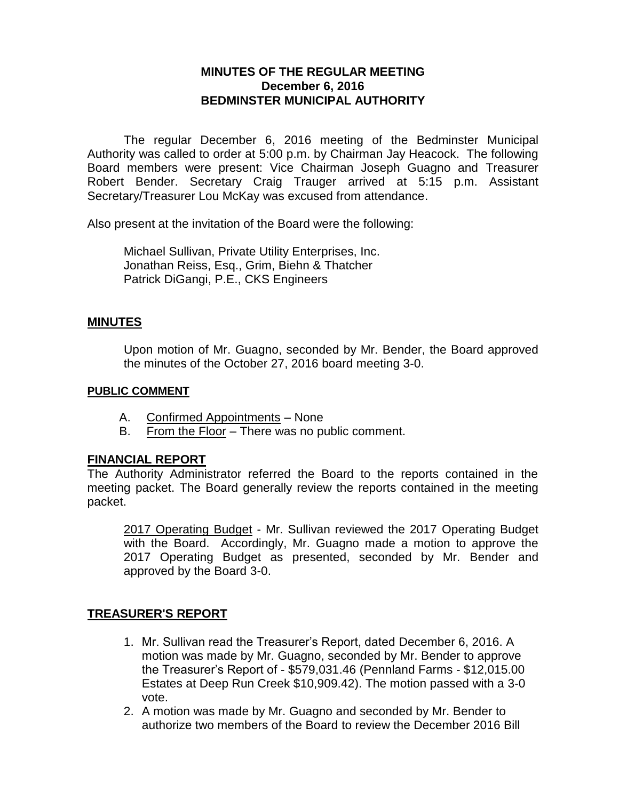## **MINUTES OF THE REGULAR MEETING December 6, 2016 BEDMINSTER MUNICIPAL AUTHORITY**

The regular December 6, 2016 meeting of the Bedminster Municipal Authority was called to order at 5:00 p.m. by Chairman Jay Heacock. The following Board members were present: Vice Chairman Joseph Guagno and Treasurer Robert Bender. Secretary Craig Trauger arrived at 5:15 p.m. Assistant Secretary/Treasurer Lou McKay was excused from attendance.

Also present at the invitation of the Board were the following:

Michael Sullivan, Private Utility Enterprises, Inc. Jonathan Reiss, Esq., Grim, Biehn & Thatcher Patrick DiGangi, P.E., CKS Engineers

#### **MINUTES**

Upon motion of Mr. Guagno, seconded by Mr. Bender, the Board approved the minutes of the October 27, 2016 board meeting 3-0.

#### **PUBLIC COMMENT**

- A. Confirmed Appointments None
- B. From the Floor There was no public comment.

## **FINANCIAL REPORT**

The Authority Administrator referred the Board to the reports contained in the meeting packet. The Board generally review the reports contained in the meeting packet.

2017 Operating Budget - Mr. Sullivan reviewed the 2017 Operating Budget with the Board. Accordingly, Mr. Guagno made a motion to approve the 2017 Operating Budget as presented, seconded by Mr. Bender and approved by the Board 3-0.

## **TREASURER'S REPORT**

- 1. Mr. Sullivan read the Treasurer's Report, dated December 6, 2016. A motion was made by Mr. Guagno, seconded by Mr. Bender to approve the Treasurer's Report of - \$579,031.46 (Pennland Farms - \$12,015.00 Estates at Deep Run Creek \$10,909.42). The motion passed with a 3-0 vote.
- 2. A motion was made by Mr. Guagno and seconded by Mr. Bender to authorize two members of the Board to review the December 2016 Bill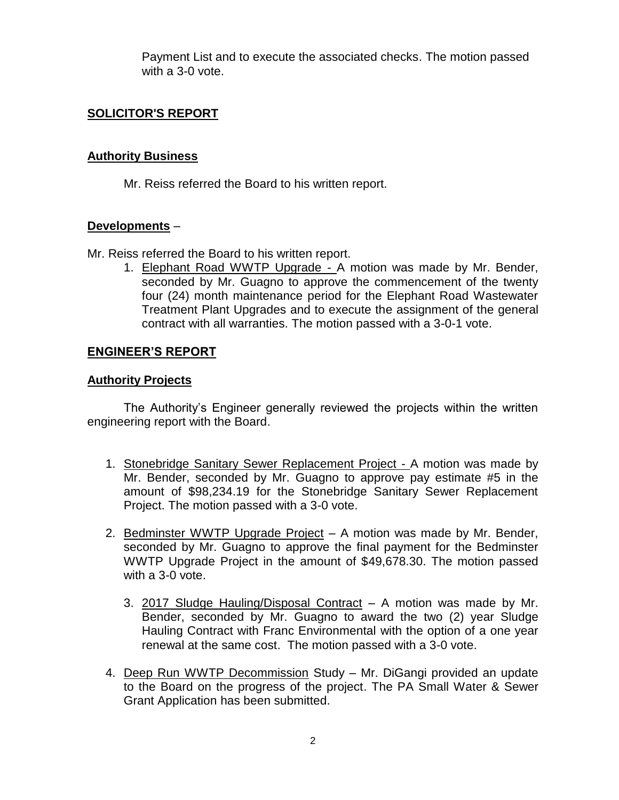Payment List and to execute the associated checks. The motion passed with a 3-0 vote.

## **SOLICITOR'S REPORT**

### **Authority Business**

Mr. Reiss referred the Board to his written report.

#### **Developments** –

Mr. Reiss referred the Board to his written report.

1. Elephant Road WWTP Upgrade - A motion was made by Mr. Bender, seconded by Mr. Guagno to approve the commencement of the twenty four (24) month maintenance period for the Elephant Road Wastewater Treatment Plant Upgrades and to execute the assignment of the general contract with all warranties. The motion passed with a 3-0-1 vote.

## **ENGINEER'S REPORT**

#### **Authority Projects**

The Authority's Engineer generally reviewed the projects within the written engineering report with the Board.

- 1. Stonebridge Sanitary Sewer Replacement Project A motion was made by Mr. Bender, seconded by Mr. Guagno to approve pay estimate #5 in the amount of \$98,234.19 for the Stonebridge Sanitary Sewer Replacement Project. The motion passed with a 3-0 vote.
- 2. Bedminster WWTP Upgrade Project A motion was made by Mr. Bender, seconded by Mr. Guagno to approve the final payment for the Bedminster WWTP Upgrade Project in the amount of \$49,678.30. The motion passed with a 3-0 vote.
	- 3. 2017 Sludge Hauling/Disposal Contract A motion was made by Mr. Bender, seconded by Mr. Guagno to award the two (2) year Sludge Hauling Contract with Franc Environmental with the option of a one year renewal at the same cost. The motion passed with a 3-0 vote.
- 4. Deep Run WWTP Decommission Study Mr. DiGangi provided an update to the Board on the progress of the project. The PA Small Water & Sewer Grant Application has been submitted.